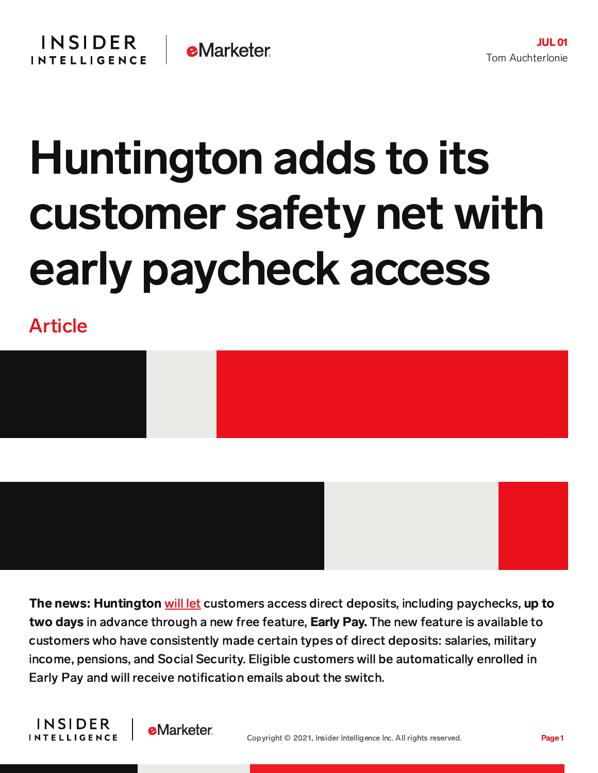## Huntington adds to its customer safety net with early paycheck access

Article





The news: Huntington [will](http://huntington-ir.com/ne/news/hban062821.htm) let customers access direct deposits, including paychecks, up to two days in advance through a new free feature, Early Pay. The new feature is available to customers who have consistently made certain types of direct deposits: salaries, military income, pensions, and Social Security. Eligible customers will be automatically enrolled in Early Pay and will receive notification emails about the switch.